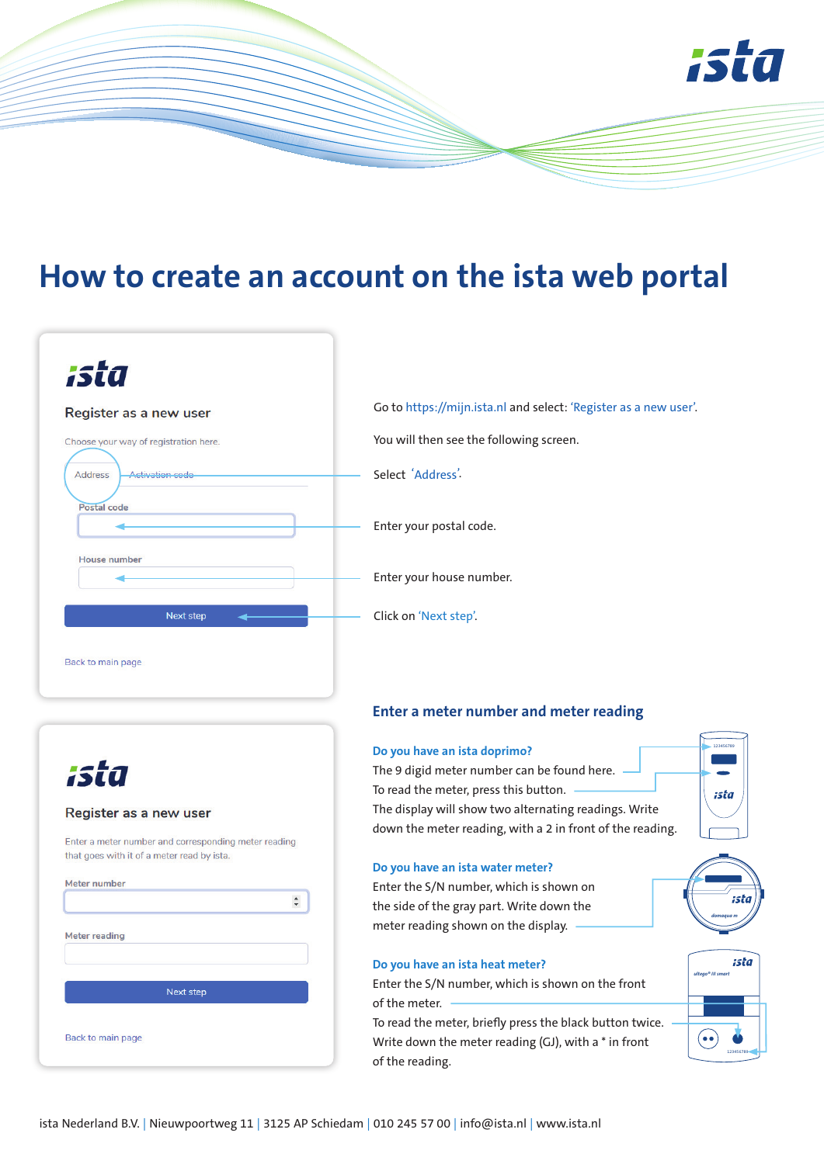

## **How to create an account on the ista web portal**

| ista                                                    |                        |  |
|---------------------------------------------------------|------------------------|--|
| Register as a new user                                  |                        |  |
| Choose your way of registration here.<br><b>Address</b> | <b>Activation code</b> |  |
| Postal code                                             |                        |  |
|                                                         |                        |  |
| <b>House number</b>                                     |                        |  |
|                                                         |                        |  |
|                                                         | Next step              |  |
|                                                         |                        |  |

Go to https://mijn.ista.nl and select: 'Register as a new user'.

You will then see the following screen.

Select 'Address'.

Enter your postal code.

Enter your house number.

Click on 'Next step'.

# ista

## Register as a new user

Enter a meter number and corresponding meter reading that goes with it of a meter read by ista.

| <b>Meter reading</b> |  |
|----------------------|--|
|                      |  |
| Next step            |  |
| Back to main page    |  |

## **Enter a meter number and meter reading**

### **Do you have an ista doprimo?**

The 9 digid meter number can be found here. To read the meter, press this button. The display will show two alternating readings. Write down the meter reading, with a 2 in front of the reading.

#### **Do you have an ista water meter?**

Enter the S/N number, which is shown on the side of the gray part. Write down the meter reading shown on the display.

#### **Do you have an ista heat meter?**

Enter the S/N number, which is shown on the front of the meter.

To read the meter, briefly press the black button twice. Write down the meter reading (GJ), with a \* in front of the reading.